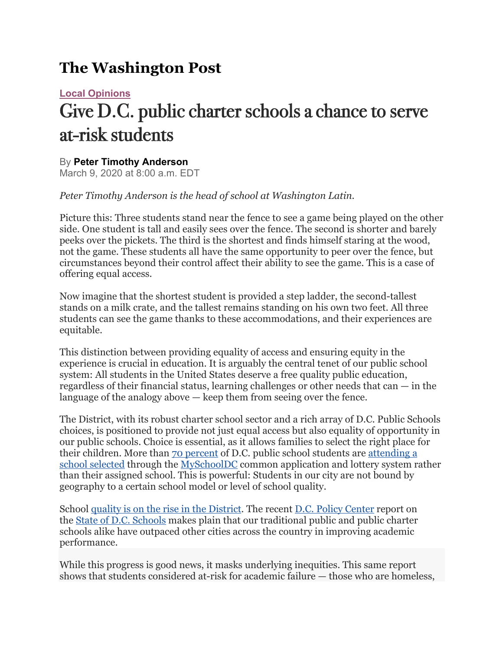## **The Washington Post**

## **Local Opinions**

## Give D.C. public charter schools a chance to serve at-risk students

By **Peter Timothy Anderson** March 9, 2020 at 8:00 a.m. EDT

*Peter Timothy Anderson is the head of school at Washington Latin.*

Picture this: Three students stand near the fence to see a game being played on the other side. One student is tall and easily sees over the fence. The second is shorter and barely peeks over the pickets. The third is the shortest and finds himself staring at the wood, not the game. These students all have the same opportunity to peer over the fence, but circumstances beyond their control affect their ability to see the game. This is a case of offering equal access.

Now imagine that the shortest student is provided a step ladder, the second-tallest stands on a milk crate, and the tallest remains standing on his own two feet. All three students can see the game thanks to these accommodations, and their experiences are equitable.

This distinction between providing equality of access and ensuring equity in the experience is crucial in education. It is arguably the central tenet of our public school system: All students in the United States deserve a free quality public education, regardless of their financial status, learning challenges or other needs that can — in the language of the analogy above — keep them from seeing over the fence.

The District, with its robust charter school sector and a rich array of D.C. Public Schools choices, is positioned to provide not just equal access but also equality of opportunity in our public schools. Choice is essential, as it allows families to select the right place for their children. More than 70 percent of D.C. public school students are attending a school selected through the MySchoolDC common application and lottery system rather than their assigned school. This is powerful: Students in our city are not bound by geography to a certain school model or level of school quality.

School quality is on the rise in the District. The recent D.C. Policy Center report on the State of D.C. Schools makes plain that our traditional public and public charter schools alike have outpaced other cities across the country in improving academic performance.

While this progress is good news, it masks underlying inequities. This same report shows that students considered at-risk for academic failure — those who are homeless,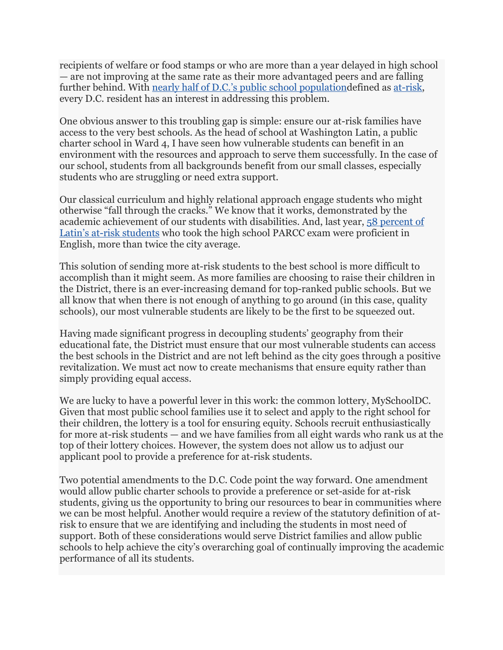recipients of welfare or food stamps or who are more than a year delayed in high school — are not improving at the same rate as their more advantaged peers and are falling further behind. With nearly half of D.C.'s public school populationdefined as at-risk, every D.C. resident has an interest in addressing this problem.

One obvious answer to this troubling gap is simple: ensure our at-risk families have access to the very best schools. As the head of school at Washington Latin, a public charter school in Ward 4, I have seen how vulnerable students can benefit in an environment with the resources and approach to serve them successfully. In the case of our school, students from all backgrounds benefit from our small classes, especially students who are struggling or need extra support.

Our classical curriculum and highly relational approach engage students who might otherwise "fall through the cracks." We know that it works, demonstrated by the academic achievement of our students with disabilities. And, last year, 58 percent of Latin's at-risk students who took the high school PARCC exam were proficient in English, more than twice the city average.

This solution of sending more at-risk students to the best school is more difficult to accomplish than it might seem. As more families are choosing to raise their children in the District, there is an ever-increasing demand for top-ranked public schools. But we all know that when there is not enough of anything to go around (in this case, quality schools), our most vulnerable students are likely to be the first to be squeezed out.

Having made significant progress in decoupling students' geography from their educational fate, the District must ensure that our most vulnerable students can access the best schools in the District and are not left behind as the city goes through a positive revitalization. We must act now to create mechanisms that ensure equity rather than simply providing equal access.

We are lucky to have a powerful lever in this work: the common lottery, MySchoolDC. Given that most public school families use it to select and apply to the right school for their children, the lottery is a tool for ensuring equity. Schools recruit enthusiastically for more at-risk students — and we have families from all eight wards who rank us at the top of their lottery choices. However, the system does not allow us to adjust our applicant pool to provide a preference for at-risk students.

Two potential amendments to the D.C. Code point the way forward. One amendment would allow public charter schools to provide a preference or set-aside for at-risk students, giving us the opportunity to bring our resources to bear in communities where we can be most helpful. Another would require a review of the statutory definition of atrisk to ensure that we are identifying and including the students in most need of support. Both of these considerations would serve District families and allow public schools to help achieve the city's overarching goal of continually improving the academic performance of all its students.